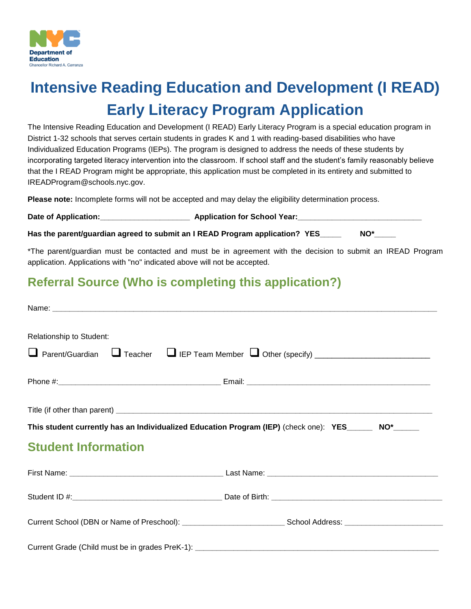

# **Intensive Reading Education and Development (I READ) Early Literacy Program Application**

The Intensive Reading Education and Development (I READ) Early Literacy Program is a special education program in District 1-32 schools that serves certain students in grades K and 1 with reading-based disabilities who have Individualized Education Programs (IEPs). The program is designed to address the needs of these students by incorporating targeted literacy intervention into the classroom. If school staff and the student's family reasonably believe that the I READ Program might be appropriate, this application must be completed in its entirety and submitted to IREADProgram@schools.nyc.gov.

**Please note:** Incomplete forms will not be accepted and may delay the eligibility determination process.

Date of Application: **Network** Application for School Year:

**Has the parent/guardian agreed to submit an I READ Program application? YES\_\_\_\_\_ NO\*\_\_\_\_\_**

\*The parent/guardian must be contacted and must be in agreement with the decision to submit an IREAD Program application. Applications with "no" indicated above will not be accepted.

## **Referral Source (Who is completing this application?)**

| Relationship to Student:                                                                             |                                                                                         |  |  |  |  |
|------------------------------------------------------------------------------------------------------|-----------------------------------------------------------------------------------------|--|--|--|--|
|                                                                                                      | □ Parent/Guardian □ Teacher □ IEP Team Member □ Other (specify) _______________________ |  |  |  |  |
|                                                                                                      |                                                                                         |  |  |  |  |
|                                                                                                      |                                                                                         |  |  |  |  |
| This student currently has an Individualized Education Program (IEP) (check one): YES______ NO*_____ |                                                                                         |  |  |  |  |
| <b>Student Information</b>                                                                           |                                                                                         |  |  |  |  |
|                                                                                                      |                                                                                         |  |  |  |  |
|                                                                                                      |                                                                                         |  |  |  |  |
|                                                                                                      |                                                                                         |  |  |  |  |
| Current Grade (Child must be in grades PreK-1):                                                      |                                                                                         |  |  |  |  |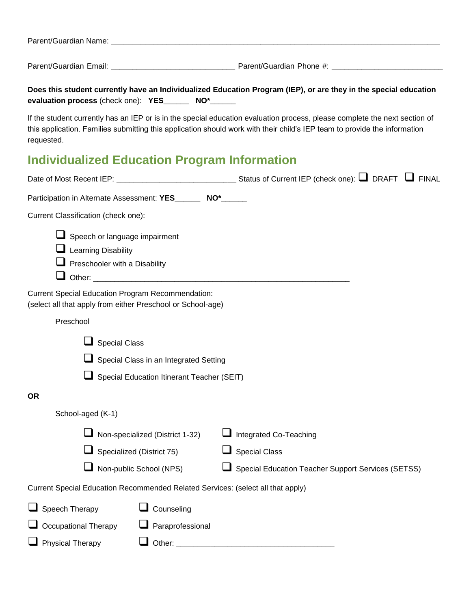| Parent/Guardian Name: |  |  |  |
|-----------------------|--|--|--|
|                       |  |  |  |
|                       |  |  |  |

Parent/Guardian Email: **\_\_\_\_\_\_\_\_\_\_\_\_\_\_\_\_\_\_\_\_\_\_\_\_\_\_\_\_\_** Parent/Guardian Phone #: **\_\_\_\_\_\_\_\_\_\_\_\_\_\_\_\_\_\_\_\_\_\_\_\_\_\_**

**Does this student currently have an Individualized Education Program (IEP), or are they in the special education evaluation process** (check one): **YES\_\_\_\_\_\_ NO\*\_\_\_\_\_\_**

If the student currently has an IEP or is in the special education evaluation process, please complete the next section of this application. Families submitting this application should work with their child's IEP team to provide the information requested.

### **Individualized Education Program Information**

|                                                                                                                         | Date of Most Recent IEP: ___________________________________Status of Current IEP (check one): ■ DRAFT ■ FINAL |
|-------------------------------------------------------------------------------------------------------------------------|----------------------------------------------------------------------------------------------------------------|
| Participation in Alternate Assessment: YES________ NO*______                                                            |                                                                                                                |
| Current Classification (check one):                                                                                     |                                                                                                                |
| Speech or language impairment<br><b>Learning Disability</b><br>Preschooler with a Disability                            |                                                                                                                |
| <b>Current Special Education Program Recommendation:</b><br>(select all that apply from either Preschool or School-age) |                                                                                                                |
| Preschool                                                                                                               |                                                                                                                |
| <b>Special Class</b><br>Special Class in an Integrated Setting<br>Special Education Itinerant Teacher (SEIT)            |                                                                                                                |
| <b>OR</b>                                                                                                               |                                                                                                                |
| School-aged (K-1)                                                                                                       |                                                                                                                |
| Non-specialized (District 1-32)                                                                                         | Integrated Co-Teaching                                                                                         |
| Specialized (District 75)                                                                                               | $\Box$ Special Class                                                                                           |
| Non-public School (NPS)                                                                                                 | Special Education Teacher Support Services (SETSS)                                                             |
| Current Special Education Recommended Related Services: (select all that apply)                                         |                                                                                                                |
| Speech Therapy<br>Counseling                                                                                            |                                                                                                                |
| Occupational Therapy<br>Paraprofessional                                                                                |                                                                                                                |
| ⊔<br><b>Physical Therapy</b><br>Other:                                                                                  |                                                                                                                |